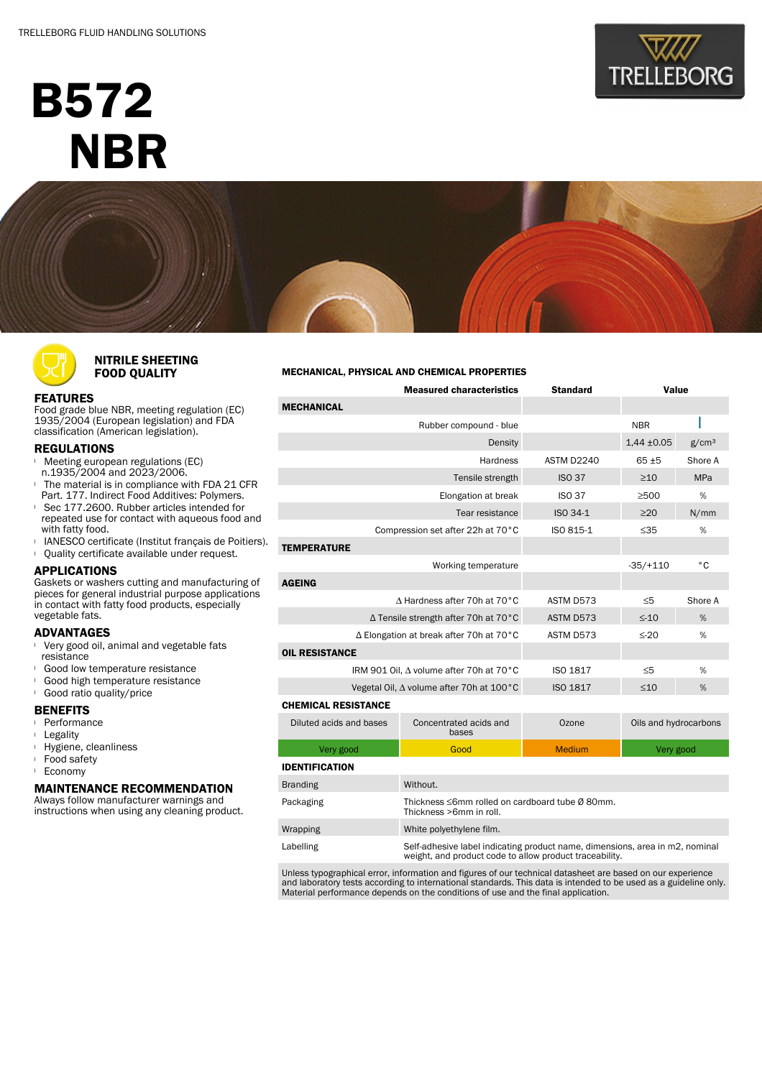# B572 **NBR**





|                                          | <b>Measured characteristics</b>                                            | <b>Standard</b> | Value                 |   |  |
|------------------------------------------|----------------------------------------------------------------------------|-----------------|-----------------------|---|--|
| <b>MECHANICAL</b>                        |                                                                            |                 |                       |   |  |
| Rubber compound - blue                   |                                                                            |                 | <b>NBR</b>            |   |  |
|                                          |                                                                            | $1,44 \pm 0.05$ | g/cm <sup>3</sup>     |   |  |
|                                          | ASTM D2240                                                                 | $65 + 5$        | Shore A               |   |  |
|                                          | <b>ISO 37</b>                                                              | $\geq$ 10       | <b>MPa</b>            |   |  |
|                                          | <b>ISO 37</b>                                                              | >500            | %                     |   |  |
|                                          | ISO 34-1                                                                   | $\geq$ 20       | N/mm                  |   |  |
| Compression set after 22h at 70°C        | ISO 815-1                                                                  | $\leq 35$       | %                     |   |  |
| <b>TEMPERATURE</b>                       |                                                                            |                 |                       |   |  |
|                                          |                                                                            | $-35/+110$      | °C                    |   |  |
| <b>AGEING</b>                            |                                                                            |                 |                       |   |  |
| A Hardness after 70h at 70°C             | ASTM D573                                                                  | $\leq 5$        | Shore A               |   |  |
| ∆ Tensile strength after 70h at 70°C     | ASTM D573                                                                  | $\leq$ -10      | %                     |   |  |
| ∆ Elongation at break after 70h at 70°C  |                                                                            | ASTM D573       | $\leq$ -20            | % |  |
| <b>OIL RESISTANCE</b>                    |                                                                            |                 |                       |   |  |
| IRM 901 Oil, A volume after 70h at 70°C  |                                                                            | <b>ISO 1817</b> | $\leq 5$              | % |  |
| Vegetal Oil, ∆ volume after 70h at 100°C |                                                                            | <b>ISO 1817</b> | $\leq 10$             | % |  |
| <b>CHEMICAL RESISTANCE</b>               |                                                                            |                 |                       |   |  |
| Diluted acids and bases                  | Concentrated acids and<br>bases                                            | Ozone           | Oils and hydrocarbons |   |  |
| Very good                                | Good                                                                       | <b>Medium</b>   | Very good             |   |  |
| <b>IDENTIFICATION</b>                    |                                                                            |                 |                       |   |  |
| <b>Branding</b>                          | Without.                                                                   |                 |                       |   |  |
| Packaging                                | Thickness ≤6mm rolled on cardboard tube Ø 80mm.<br>Thickness >6mm in roll. |                 |                       |   |  |
| Wrapping                                 | White polyethylene film.                                                   |                 |                       |   |  |

Unless typographical error, information and figures of our technical datasheet are based on our experience and laboratory tests according to international standards. This data is intended to be used as a guideline only. Material performance depends on the conditions of use and the final application.

Labelling Self-adhesive label indicating product name, dimensions, area in m2, nominal weight, and product code to allow product traceability.



## NITRILE SHEETING FOOD QUALITY

## FEATURES

Food grade blue NBR, meeting regulation (EC) 1935/2004 (European legislation) and FDA classification (American legislation).

### REGULATIONS

- **I** Meeting european regulations (EC)
- n.1935/2004 and 2023/2006. <sup>l</sup> The material is in compliance with FDA 21 CFR
- Part. 177. Indirect Food Additives: Polymers.
- <sup>l</sup> Sec 177.2600. Rubber articles intended for repeated use for contact with aqueous food and with fatty food.
- **I** IANESCO certificate (Institut français de Poitiers). <sup>l</sup> Quality certificate available under request.

# APPLICATIONS

Gaskets or washers cutting and manufacturing of pieces for general industrial purpose applications in contact with fatty food products, especially vegetable fats.

## ADVANTAGES

- Very good oil, animal and vegetable fats resistance
- Good low temperature resistance
- <sup>l</sup> Good high temperature resistance
- **Good ratio quality/price**

#### BENEFITS

- <sup>l</sup> Performance
- <sup>l</sup> Legality
- <sup>l</sup> Hygiene, cleanliness
- <sup>l</sup> Food safety
- <sup>l</sup> Economy

## MAINTENANCE RECOMMENDATION

Always follow manufacturer warnings and instructions when using any cleaning product.